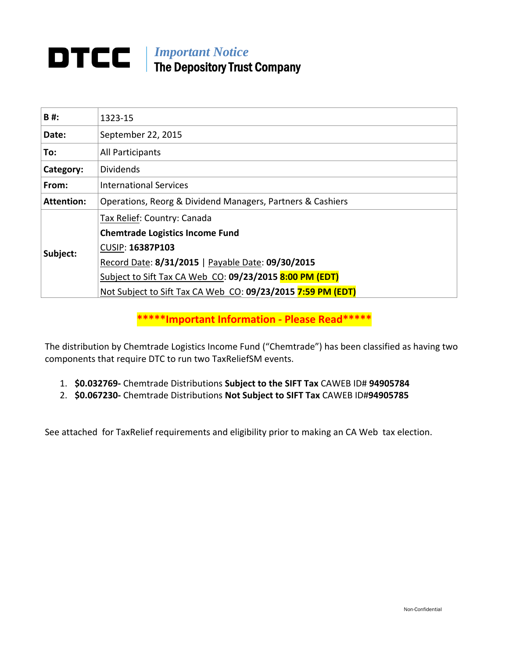# **DTCC** | *Important Notice* The Depository Trust Company

| <b>B#:</b>        | 1323-15                                                     |
|-------------------|-------------------------------------------------------------|
| Date:             | September 22, 2015                                          |
| To:               | All Participants                                            |
| Category:         | <b>Dividends</b>                                            |
| From:             | <b>International Services</b>                               |
| <b>Attention:</b> | Operations, Reorg & Dividend Managers, Partners & Cashiers  |
| Subject:          | Tax Relief: Country: Canada                                 |
|                   | <b>Chemtrade Logistics Income Fund</b>                      |
|                   | CUSIP: 16387P103                                            |
|                   | Record Date: 8/31/2015   Payable Date: 09/30/2015           |
|                   | Subject to Sift Tax CA Web CO: 09/23/2015 8:00 PM (EDT)     |
|                   | Not Subject to Sift Tax CA Web CO: 09/23/2015 7:59 PM (EDT) |

**\*\*\*\*\*Important Information ‐ Please Read\*\*\*\*\***

The distribution by Chemtrade Logistics Income Fund ("Chemtrade") has been classified as having two components that require DTC to run two TaxReliefSM events.

- 1. **\$0.032769‐** Chemtrade Distributions **Subject to the SIFT Tax** CAWEB ID# **94905784**
- 2. **\$0.067230‐** Chemtrade Distributions **Not Subject to SIFT Tax** CAWEB ID#**94905785**

See attached for TaxRelief requirements and eligibility prior to making an CA Web tax election.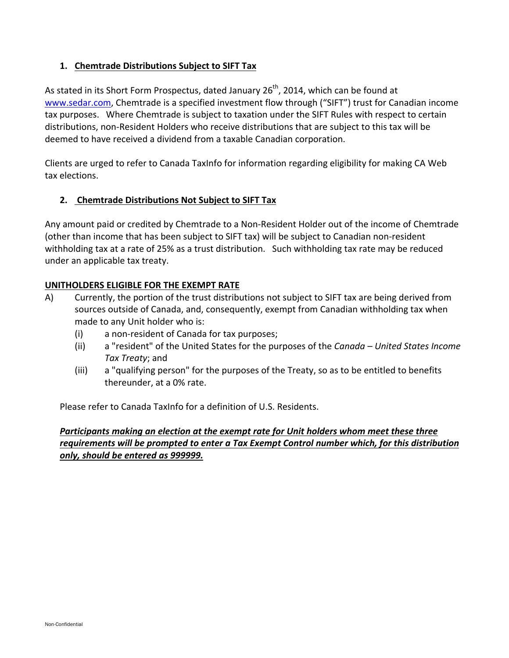## **1. Chemtrade Distributions Subject to SIFT Tax**

As stated in its Short Form Prospectus, dated January 26<sup>th</sup>, 2014, which can be found at www.sedar.com, Chemtrade is a specified investment flow through ("SIFT") trust for Canadian income tax purposes. Where Chemtrade is subject to taxation under the SIFT Rules with respect to certain distributions, non‐Resident Holders who receive distributions that are subject to this tax will be deemed to have received a dividend from a taxable Canadian corporation.

Clients are urged to refer to Canada TaxInfo for information regarding eligibility for making CA Web tax elections.

## **2. Chemtrade Distributions Not Subject to SIFT Tax**

Any amount paid or credited by Chemtrade to a Non‐Resident Holder out of the income of Chemtrade (other than income that has been subject to SIFT tax) will be subject to Canadian non‐resident withholding tax at a rate of 25% as a trust distribution. Such withholding tax rate may be reduced under an applicable tax treaty.

## **UNITHOLDERS ELIGIBLE FOR THE EXEMPT RATE**

- A) Currently, the portion of the trust distributions not subject to SIFT tax are being derived from sources outside of Canada, and, consequently, exempt from Canadian withholding tax when made to any Unit holder who is:
	- (i) a non‐resident of Canada for tax purposes;
	- (ii) a "resident" of the United States for the purposes of the *Canada – United States Income Tax Treaty*; and
	- (iii) a "qualifying person" for the purposes of the Treaty, so as to be entitled to benefits thereunder, at a 0% rate.

Please refer to Canada TaxInfo for a definition of U.S. Residents.

## *Participants making an election at the exempt rate for Unit holders whom meet these three requirements will be prompted to enter a Tax Exempt Control number which, for this distribution only, should be entered as 999999.*